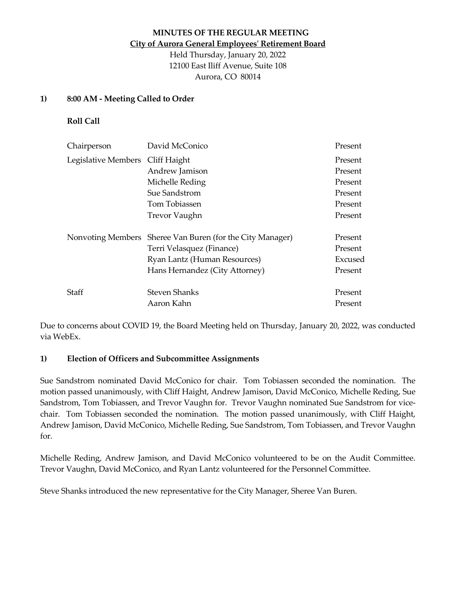# **MINUTES OF THE REGULAR MEETING City of Aurora General Employees' Retirement Board**

Held Thursday, January 20, 2022 12100 East Iliff Avenue, Suite 108 Aurora, CO 80014

#### **1) 8:00 AM - Meeting Called to Order**

**Roll Call**

| Chairperson         | David McConico                          | Present |
|---------------------|-----------------------------------------|---------|
| Legislative Members | Cliff Haight                            | Present |
|                     | Andrew Jamison                          | Present |
|                     | Michelle Reding                         | Present |
|                     | Sue Sandstrom                           | Present |
|                     | Tom Tobiassen                           | Present |
|                     | <b>Trevor Vaughn</b>                    | Present |
| Nonvoting Members   | Sheree Van Buren (for the City Manager) | Present |
|                     | Terri Velasquez (Finance)               | Present |
|                     | Ryan Lantz (Human Resources)            | Excused |
|                     | Hans Hernandez (City Attorney)          | Present |
| Staff               | <b>Steven Shanks</b>                    | Present |
|                     | Aaron Kahn                              | Present |

Due to concerns about COVID 19, the Board Meeting held on Thursday, January 20, 2022, was conducted via WebEx.

#### **1) Election of Officers and Subcommittee Assignments**

Sue Sandstrom nominated David McConico for chair. Tom Tobiassen seconded the nomination. The motion passed unanimously, with Cliff Haight, Andrew Jamison, David McConico, Michelle Reding, Sue Sandstrom, Tom Tobiassen, and Trevor Vaughn for. Trevor Vaughn nominated Sue Sandstrom for vicechair. Tom Tobiassen seconded the nomination. The motion passed unanimously, with Cliff Haight, Andrew Jamison, David McConico, Michelle Reding, Sue Sandstrom, Tom Tobiassen, and Trevor Vaughn for.

Michelle Reding, Andrew Jamison, and David McConico volunteered to be on the Audit Committee. Trevor Vaughn, David McConico, and Ryan Lantz volunteered for the Personnel Committee.

Steve Shanks introduced the new representative for the City Manager, Sheree Van Buren.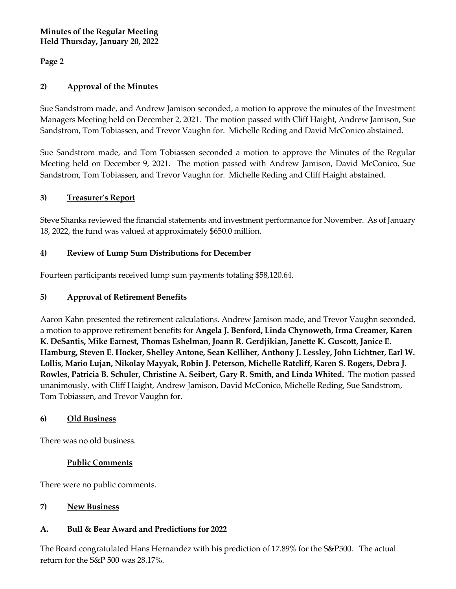**Page 2**

# **2) Approval of the Minutes**

Sue Sandstrom made, and Andrew Jamison seconded, a motion to approve the minutes of the Investment Managers Meeting held on December 2, 2021. The motion passed with Cliff Haight, Andrew Jamison, Sue Sandstrom, Tom Tobiassen, and Trevor Vaughn for.Michelle Reding and David McConico abstained.

Sue Sandstrom made, and Tom Tobiassen seconded a motion to approve the Minutes of the Regular Meeting held on December 9, 2021. The motion passed with Andrew Jamison, David McConico, Sue Sandstrom, Tom Tobiassen, and Trevor Vaughn for.Michelle Reding and Cliff Haight abstained.

# **3) Treasurer's Report**

Steve Shanks reviewed the financial statements and investment performance for November. As of January 18, 2022, the fund was valued at approximately \$650.0 million.

# **4) Review of Lump Sum Distributions for December**

Fourteen participants received lump sum payments totaling \$58,120.64.

### **5) Approval of Retirement Benefits**

Aaron Kahn presented the retirement calculations. Andrew Jamison made, and Trevor Vaughn seconded, a motion to approve retirement benefits for **Angela J. Benford, Linda Chynoweth, Irma Creamer, Karen K. DeSantis, Mike Earnest, Thomas Eshelman, Joann R. Gerdjikian, Janette K. Guscott, Janice E. Hamburg, Steven E. Hocker, Shelley Antone, Sean Kelliher, Anthony J. Lessley, John Lichtner, Earl W. Lollis, Mario Lujan, Nikolay Mayyak, Robin J. Peterson, Michelle Ratcliff, Karen S. Rogers, Debra J. Rowles, Patricia B. Schuler, Christine A. Seibert, Gary R. Smith, and Linda Whited.** The motion passed unanimously, with Cliff Haight, Andrew Jamison, David McConico, Michelle Reding, Sue Sandstrom, Tom Tobiassen, and Trevor Vaughn for.

#### **6) Old Business**

There was no old business.

#### **Public Comments**

There were no public comments.

# **7) New Business**

# **A. Bull & Bear Award and Predictions for 2022**

The Board congratulated Hans Hernandez with his prediction of 17.89% for the S&P500. The actual return for the S&P 500 was 28.17%.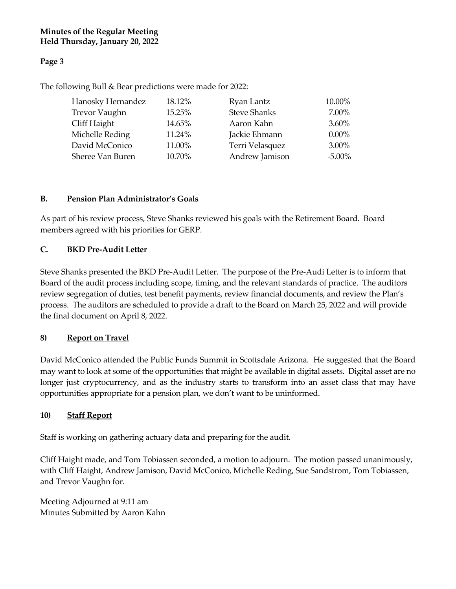# **Page 3**

The following Bull & Bear predictions were made for 2022:

| Hanosky Hernandez    | 18.12% | Ryan Lantz          | 10.00%    |
|----------------------|--------|---------------------|-----------|
| <b>Trevor Vaughn</b> | 15.25% | <b>Steve Shanks</b> | 7.00%     |
| Cliff Haight         | 14.65% | Aaron Kahn          | $3.60\%$  |
| Michelle Reding      | 11.24% | Jackie Ehmann       | $0.00\%$  |
| David McConico       | 11.00% | Terri Velasquez     | $3.00\%$  |
| Sheree Van Buren     | 10.70% | Andrew Jamison      | $-5.00\%$ |

### **B. Pension Plan Administrator's Goals**

As part of his review process, Steve Shanks reviewed his goals with the Retirement Board. Board members agreed with his priorities for GERP.

### **C. BKD Pre-Audit Letter**

Steve Shanks presented the BKD Pre-Audit Letter. The purpose of the Pre-Audi Letter is to inform that Board of the audit process including scope, timing, and the relevant standards of practice. The auditors review segregation of duties, test benefit payments, review financial documents, and review the Plan's process. The auditors are scheduled to provide a draft to the Board on March 25, 2022 and will provide the final document on April 8, 2022.

#### **8) Report on Travel**

David McConico attended the Public Funds Summit in Scottsdale Arizona. He suggested that the Board may want to look at some of the opportunities that might be available in digital assets. Digital asset are no longer just cryptocurrency, and as the industry starts to transform into an asset class that may have opportunities appropriate for a pension plan, we don't want to be uninformed.

# **10) Staff Report**

Staff is working on gathering actuary data and preparing for the audit.

Cliff Haight made, and Tom Tobiassen seconded, a motion to adjourn. The motion passed unanimously, with Cliff Haight, Andrew Jamison, David McConico, Michelle Reding, Sue Sandstrom, Tom Tobiassen, and Trevor Vaughn for.

Meeting Adjourned at 9:11 am Minutes Submitted by Aaron Kahn